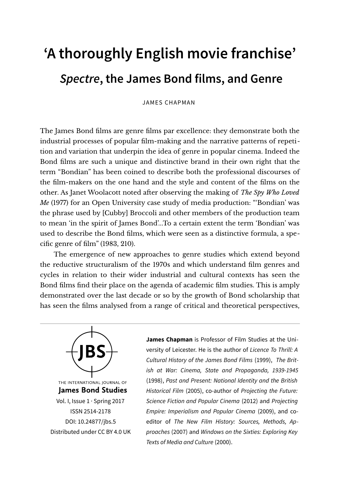# **'A thoroughly English movie franchise' Spectre, the James Bond films, and Genre**

JAMES CHAPMAN

The James Bond films are genre films par excellence: they demonstrate both the industrial processes of popular film-making and the narrative patterns of repetition and variation that underpin the idea of genre in popular cinema. Indeed the Bond films are such a unique and distinctive brand in their own right that the term "Bondian" has been coined to describe both the professional discourses of the film-makers on the one hand and the style and content of the films on the other. As Janet Woolacott noted after observing the making of *The Spy Who Loved Me* (1977) for an Open University case study of media production: "Bondian' was the phrase used by [Cubby] Broccoli and other members of the production team to mean 'in the spirit of James Bond'...To a certain extent the term 'Bondian' was used to describe the Bond films, which were seen as a distinctive formula, a specific genre of film" (1983, 210).

The emergence of new approaches to genre studies which extend beyond the reductive structuralism of the 1970s and which understand film genres and cycles in relation to their wider industrial and cultural contexts has seen the Bond films find their place on the agenda of academic film studies. This is amply demonstrated over the last decade or so by the growth of Bond scholarship that has seen the films analysed from a range of critical and theoretical perspectives,



Vol. I, Issue 1 · Spring 2017 ISSN 2514-2178 [DOI: 10.24877/jbs.5](https://doi.org/10.24877/jbs.5) Distributed under [CC BY 4.0 UK](https://creativecommons.org/licenses/by/2.0/uk/) **James Chapman** is Professor of Film Studies at the University of Leicester. He is the author of Licence To Thrill: A Cultural History of the James Bond Films (1999), The British at War: Cinema, State and Propaganda, 1939-1945 (1998), Past and Present: National Identity and the British Historical Film (2005), co-author of Projecting the Future: Science Fiction and Popular Cinema (2012) and Projecting Empire: Imperialism and Popular Cinema (2009), and coeditor of The New Film History: Sources, Methods, Approaches (2007) and Windows on the Sixties: Exploring Key Texts of Media and Culture (2000).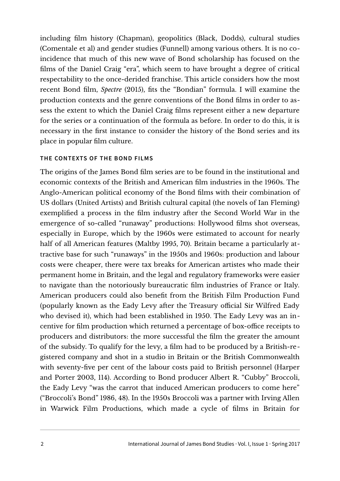including film history (Chapman), geopolitics (Black, Dodds), cultural studies (Comentale et al) and gender studies (Funnell) among various others. It is no coincidence that much of this new wave of Bond scholarship has focused on the films of the Daniel Craig "era", which seem to have brought a degree of critical respectability to the once-derided franchise. This article considers how the most recent Bond film, *Spectre* (2015), fits the "Bondian" formula. I will examine the production contexts and the genre conventions of the Bond films in order to assess the extent to which the Daniel Craig films represent either a new departure for the series or a continuation of the formula as before. In order to do this, it is necessary in the first instance to consider the history of the Bond series and its place in popular film culture.

## **THE CONTEXTS OF THE BOND FILMS**

The origins of the James Bond film series are to be found in the institutional and economic contexts of the British and American film industries in the 1960s. The Anglo-American political economy of the Bond films with their combination of US dollars (United Artists) and British cultural capital (the novels of Ian Fleming) exemplified a process in the film industry after the Second World War in the emergence of so-called "runaway" productions: Hollywood films shot overseas, especially in Europe, which by the 1960s were estimated to account for nearly half of all American features (Maltby 1995, 70). Britain became a particularly attractive base for such "runaways" in the 1950s and 1960s: production and labour costs were cheaper, there were tax breaks for American artistes who made their permanent home in Britain, and the legal and regulatory frameworks were easier to navigate than the notoriously bureaucratic film industries of France or Italy. American producers could also benefit from the British Film Production Fund (popularly known as the Eady Levy after the Treasury official Sir Wilfred Eady who devised it), which had been established in 1950. The Eady Levy was an incentive for film production which returned a percentage of box-office receipts to producers and distributors: the more successful the film the greater the amount of the subsidy. To qualify for the levy, a film had to be produced by a British-registered company and shot in a studio in Britain or the British Commonwealth with seventy-five per cent of the labour costs paid to British personnel (Harper and Porter 2003, 114). According to Bond producer Albert R. "Cubby" Broccoli, the Eady Levy "was the carrot that induced American producers to come here" ("Broccoli's Bond" 1986, 48). In the 1950s Broccoli was a partner with Irving Allen in Warwick Film Productions, which made a cycle of films in Britain for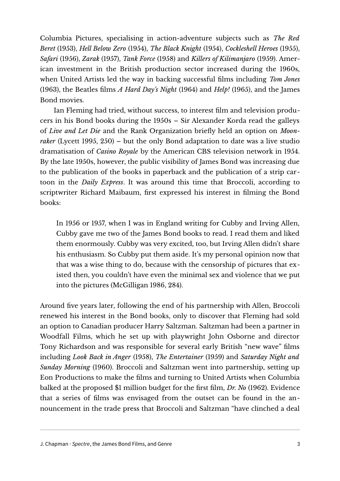Columbia Pictures, specialising in action-adventure subjects such as *The Red Beret* (1953), *Hell Below Zero* (1954), *The Black Knight* (1954), *Cockleshell Heroes* (1955), *Safari* (1956), *Zarak* (1957), *Tank Force* (1958) and *Killers of Kilimanjaro* (1959). American investment in the British production sector increased during the 1960s, when United Artists led the way in backing successful films including *Tom Jones* (1963), the Beatles films *A Hard Day's Night* (1964) and *Help!* (1965), and the James Bond movies.

Ian Fleming had tried, without success, to interest film and television producers in his Bond books during the 1950s – Sir Alexander Korda read the galleys of *Live and Let Die* and the Rank Organization briefly held an option on *Moonraker* (Lycett 1995, 250) – but the only Bond adaptation to date was a live studio dramatisation of *Casino Royale* by the American CBS television network in 1954. By the late 1950s, however, the public visibility of James Bond was increasing due to the publication of the books in paperback and the publication of a strip cartoon in the *Daily Express*. It was around this time that Broccoli, according to scriptwriter Richard Maibaum, first expressed his interest in filming the Bond books:

In 1956 or 1957, when I was in England writing for Cubby and Irving Allen, Cubby gave me two of the James Bond books to read. I read them and liked them enormously. Cubby was very excited, too, but Irving Allen didn't share his enthusiasm. So Cubby put them aside. It's my personal opinion now that that was a wise thing to do, because with the censorship of pictures that existed then, you couldn't have even the minimal sex and violence that we put into the pictures (McGilligan 1986, 284).

Around five years later, following the end of his partnership with Allen, Broccoli renewed his interest in the Bond books, only to discover that Fleming had sold an option to Canadian producer Harry Saltzman. Saltzman had been a partner in Woodfall Films, which he set up with playwright John Osborne and director Tony Richardson and was responsible for several early British "new wave" films including *Look Back in Anger* (1958), *The Entertainer* (1959) and *Saturday Night and Sunday Morning* (1960). Broccoli and Saltzman went into partnership, setting up Eon Productions to make the films and turning to United Artists when Columbia balked at the proposed \$1 million budget for the first film, *Dr. No* (1962). Evidence that a series of films was envisaged from the outset can be found in the announcement in the trade press that Broccoli and Saltzman "have clinched a deal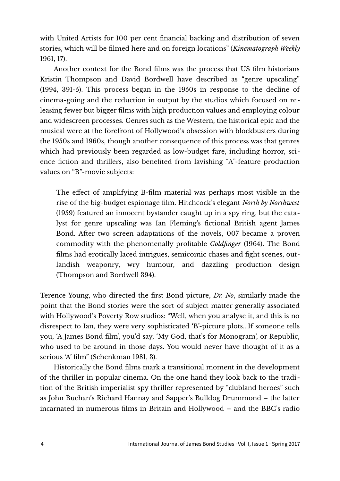with United Artists for 100 per cent financial backing and distribution of seven stories, which will be filmed here and on foreign locations" (*Kinematograph Weekly* 1961, 17).

Another context for the Bond films was the process that US film historians Kristin Thompson and David Bordwell have described as "genre upscaling" (1994, 391-5). This process began in the 1950s in response to the decline of cinema-going and the reduction in output by the studios which focused on releasing fewer but bigger films with high production values and employing colour and widescreen processes. Genres such as the Western, the historical epic and the musical were at the forefront of Hollywood's obsession with blockbusters during the 1950s and 1960s, though another consequence of this process was that genres which had previously been regarded as low-budget fare, including horror, science fiction and thrillers, also benefited from lavishing "A"-feature production values on "B"-movie subjects:

The effect of amplifying B-film material was perhaps most visible in the rise of the big-budget espionage film. Hitchcock's elegant *North by Northwest* (1959) featured an innocent bystander caught up in a spy ring, but the catalyst for genre upscaling was Ian Fleming's fictional British agent James Bond. After two screen adaptations of the novels, 007 became a proven commodity with the phenomenally profitable *Goldfinger* (1964). The Bond films had erotically laced intrigues, semicomic chases and fight scenes, outlandish weaponry, wry humour, and dazzling production design (Thompson and Bordwell 394).

Terence Young, who directed the first Bond picture, *Dr. No*, similarly made the point that the Bond stories were the sort of subject matter generally associated with Hollywood's Poverty Row studios: "Well, when you analyse it, and this is no disrespect to Ian, they were very sophisticated 'B'-picture plots...If someone tells you, 'A James Bond film', you'd say, 'My God, that's for Monogram', or Republic, who used to be around in those days. You would never have thought of it as a serious 'A' film" (Schenkman 1981, 3).

Historically the Bond films mark a transitional moment in the development of the thriller in popular cinema. On the one hand they look back to the tradi tion of the British imperialist spy thriller represented by "clubland heroes" such as John Buchan's Richard Hannay and Sapper's Bulldog Drummond – the latter incarnated in numerous films in Britain and Hollywood – and the BBC's radio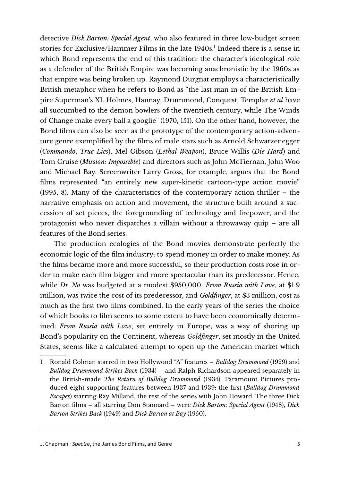detective *Dick Barton: Special Agent*, who also featured in three low-budget screen stories for Exclusive/Hammer Films in the late [1](#page-4-0)940s.<sup>1</sup> Indeed there is a sense in which Bond represents the end of this tradition: the character's ideological role as a defender of the British Empire was becoming anachronistic by the 1960s as that empire was being broken up. Raymond Durgnat employs a characteristically British metaphor when he refers to Bond as "the last man in of the British Empire Superman's XI. Holmes, Hannay, Drummond, Conquest, Templar *et al* have all succumbed to the demon bowlers of the twentieth century, while The Winds of Change make every ball a googlie" (1970, 151). On the other hand, however, the Bond films can also be seen as the prototype of the contemporary action-adventure genre exemplified by the films of male stars such as Arnold Schwarzenegger (*Commando*, *True Lies*), Mel Gibson (*Lethal Weapon*), Bruce Willis (*Die Hard*) and Tom Cruise (*Mission: Impossible*) and directors such as John McTiernan, John Woo and Michael Bay. Screenwriter Larry Gross, for example, argues that the Bond films represented "an entirely new super-kinetic cartoon-type action movie" (1995, 8). Many of the characteristics of the contemporary action thriller – the narrative emphasis on action and movement, the structure built around a succession of set pieces, the foregrounding of technology and firepower, and the protagonist who never dispatches a villain without a throwaway quip – are all features of the Bond series.

The production ecologies of the Bond movies demonstrate perfectly the economic logic of the film industry: to spend money in order to make money. As the films became more and more successful, so their production costs rose in order to make each film bigger and more spectacular than its predecessor. Hence, while *Dr. No* was budgeted at a modest \$950,000, *From Russia with Love*, at \$1.9 million, was twice the cost of its predecessor, and *Goldfinger*, at \$3 million, cost as much as the first two films combined. In the early years of the series the choice of which books to film seems to some extent to have been economically determined: *From Russia with Love*, set entirely in Europe, was a way of shoring up Bond's popularity on the Continent, whereas *Goldfinger*, set mostly in the United States, seems like a calculated attempt to open up the American market which

<span id="page-4-0"></span><sup>1</sup> Ronald Colman starred in two Hollywood "A" features – *Bulldog Drummond* (1929) and *Bulldog Drummond Strikes Back* (1934) – and Ralph Richardson appeared separately in the British-made *The Return of Bulldog Drummond* (1934). Paramount Pictures produced eight supporting features between 1937 and 1939: the first (*Bulldog Drummond Escapes*) starring Ray Milland, the rest of the series with John Howard. The three Dick Barton films – all starring Don Stannard – were *Dick Barton: Special Agent* (1948), *Dick Barton Strikes Back* (1949) and *Dick Barton at Bay* (1950).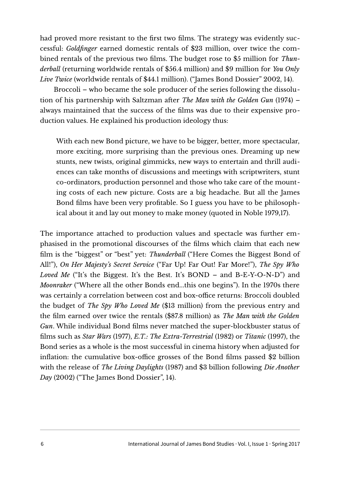had proved more resistant to the first two films. The strategy was evidently successful: *Goldfinger* earned domestic rentals of \$23 million, over twice the combined rentals of the previous two films. The budget rose to \$5 million for *Thunderball* (returning worldwide rentals of \$56.4 million) and \$9 million for *You Only Live Twice* (worldwide rentals of \$44.1 million). ("James Bond Dossier" 2002, 14).

Broccoli – who became the sole producer of the series following the dissolution of his partnership with Saltzman after *The Man with the Golden Gun* (1974) – always maintained that the success of the films was due to their expensive production values. He explained his production ideology thus:

With each new Bond picture, we have to be bigger, better, more spectacular, more exciting, more surprising than the previous ones. Dreaming up new stunts, new twists, original gimmicks, new ways to entertain and thrill audiences can take months of discussions and meetings with scriptwriters, stunt co-ordinators, production personnel and those who take care of the mounting costs of each new picture. Costs are a big headache. But all the James Bond films have been very profitable. So I guess you have to be philosophical about it and lay out money to make money (quoted in Noble 1979,17).

The importance attached to production values and spectacle was further emphasised in the promotional discourses of the films which claim that each new film is the "biggest" or "best" yet: *Thunderball* ("Here Comes the Biggest Bond of All!"), *On Her Majesty's Secret Service* ("Far Up! Far Out! Far More!"), *The Spy Who Loved Me* ("It's the Biggest. It's the Best. It's BOND – and B-E-Y-O-N-D") and *Moonraker* ("Where all the other Bonds end...this one begins"). In the 1970s there was certainly a correlation between cost and box-office returns: Broccoli doubled the budget of *The Spy Who Loved Me* (\$13 million) from the previous entry and the film earned over twice the rentals (\$87.8 million) as *The Man with the Golden Gun*. While individual Bond films never matched the super-blockbuster status of films such as *Star Wars* (1977), *E.T.: The Extra-Terrestrial* (1982) or *Titanic* (1997), the Bond series as a whole is the most successful in cinema history when adjusted for inflation: the cumulative box-office grosses of the Bond films passed \$2 billion with the release of *The Living Daylights* (1987) and \$3 billion following *Die Another Day* (2002) ("The James Bond Dossier", 14).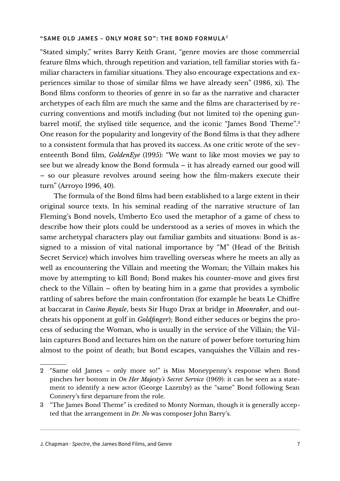#### **"SAME OLD JAMES – ONLY MORE SO": THE BOND FORMULA [2](#page-6-0)**

"Stated simply," writes Barry Keith Grant, "genre movies are those commercial feature films which, through repetition and variation, tell familiar stories with familiar characters in familiar situations. They also encourage expectations and experiences similar to those of similar films we have already seen" (1986, xi). The Bond films conform to theories of genre in so far as the narrative and character archetypes of each film are much the same and the films are characterised by recurring conventions and motifs including (but not limited to) the opening gunbarrel motif, the stylised title sequence, and the iconic "James Bond Theme". [3](#page-6-1) One reason for the popularity and longevity of the Bond films is that they adhere to a consistent formula that has proved its success. As one critic wrote of the seventeenth Bond film, *GoldenEye* (1995): "We want to like most movies we pay to see but we already know the Bond formula – it has already earned our good will – so our pleasure revolves around seeing how the film-makers execute their turn" (Arroyo 1996, 40).

The formula of the Bond films had been established to a large extent in their original source texts. In his seminal reading of the narrative structure of Ian Fleming's Bond novels, Umberto Eco used the metaphor of a game of chess to describe how their plots could be understood as a series of moves in which the same archetypal characters play out familiar gambits and situations: Bond is assigned to a mission of vital national importance by "M" (Head of the British Secret Service) which involves him travelling overseas where he meets an ally as well as encountering the Villain and meeting the Woman; the Villain makes his move by attempting to kill Bond; Bond makes his counter-move and gives first check to the Villain – often by beating him in a game that provides a symbolic rattling of sabres before the main confrontation (for example he beats Le Chiffre at baccarat in *Casino Royale*, bests Sir Hugo Drax at bridge in *Moonraker*, and outcheats his opponent at golf in *Goldfinger*); Bond either seduces or begins the process of seducing the Woman, who is usually in the service of the Villain; the Villain captures Bond and lectures him on the nature of power before torturing him almost to the point of death; but Bond escapes, vanquishes the Villain and res-

<span id="page-6-0"></span><sup>2</sup> "Same old James – only more so!" is Miss Moneypenny's response when Bond pinches her bottom in *On Her Majesty's Secret Service* (1969): it can be seen as a statement to identify a new actor (George Lazenby) as the "same" Bond following Sean Connery's first departure from the role.

<span id="page-6-1"></span><sup>3</sup> "The James Bond Theme" is credited to Monty Norman, though it is generally accepted that the arrangement in *Dr. No* was composer John Barry's.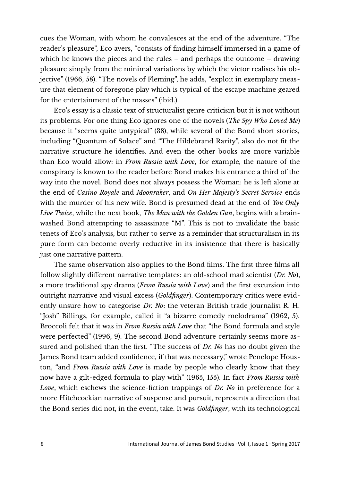cues the Woman, with whom he convalesces at the end of the adventure. "The reader's pleasure", Eco avers, "consists of finding himself immersed in a game of which he knows the pieces and the rules – and perhaps the outcome – drawing pleasure simply from the minimal variations by which the victor realises his objective" (1966, 58). "The novels of Fleming", he adds, "exploit in exemplary measure that element of foregone play which is typical of the escape machine geared for the entertainment of the masses" (ibid.).

Eco's essay is a classic text of structuralist genre criticism but it is not without its problems. For one thing Eco ignores one of the novels (*The Spy Who Loved Me*) because it "seems quite untypical" (38), while several of the Bond short stories, including "Quantum of Solace" and "The Hildebrand Rarity", also do not fit the narrative structure he identifies. And even the other books are more variable than Eco would allow: in *From Russia with Love*, for example, the nature of the conspiracy is known to the reader before Bond makes his entrance a third of the way into the novel. Bond does not always possess the Woman: he is left alone at the end of *Casino Royale* and *Moonraker*, and *On Her Majesty's Secret Service* ends with the murder of his new wife. Bond is presumed dead at the end of *You Only Live Twice*, while the next book, *The Man with the Golden Gun*, begins with a brainwashed Bond attempting to assassinate "M". This is not to invalidate the basic tenets of Eco's analysis, but rather to serve as a reminder that structuralism in its pure form can become overly reductive in its insistence that there is basically just one narrative pattern.

The same observation also applies to the Bond films. The first three films all follow slightly different narrative templates: an old-school mad scientist (*Dr. No*), a more traditional spy drama (*From Russia with Love*) and the first excursion into outright narrative and visual excess (*Goldfinger*). Contemporary critics were evidently unsure how to categorise *Dr. No*: the veteran British trade journalist R. H. "Josh" Billings, for example, called it "a bizarre comedy melodrama" (1962, 5). Broccoli felt that it was in *From Russia with Love* that "the Bond formula and style were perfected" (1996, 9). The second Bond adventure certainly seems more assured and polished than the first. "The success of *Dr. No* has no doubt given the James Bond team added confidence, if that was necessary," wrote Penelope Houston, "and *From Russia with Love* is made by people who clearly know that they now have a gilt-edged formula to play with" (1965, 155). In fact *From Russia with Love*, which eschews the science-fiction trappings of *Dr. No* in preference for a more Hitchcockian narrative of suspense and pursuit, represents a direction that the Bond series did not, in the event, take. It was *Goldfinger*, with its technological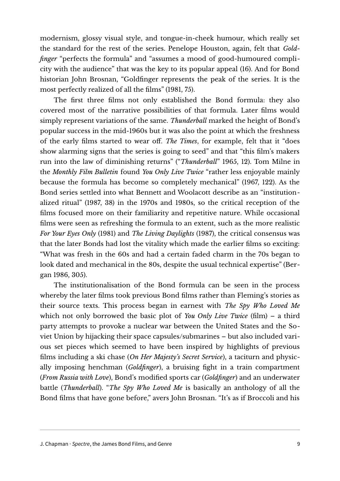modernism, glossy visual style, and tongue-in-cheek humour, which really set the standard for the rest of the series. Penelope Houston, again, felt that *Goldfinger* "perfects the formula" and "assumes a mood of good-humoured complicity with the audience" that was the key to its popular appeal (16). And for Bond historian John Brosnan, "Goldfinger represents the peak of the series. It is the most perfectly realized of all the films" (1981, 75).

The first three films not only established the Bond formula: they also covered most of the narrative possibilities of that formula. Later films would simply represent variations of the same. *Thunderball* marked the height of Bond's popular success in the mid-1960s but it was also the point at which the freshness of the early films started to wear off. *The Times*, for example, felt that it "does show alarming signs that the series is going to seed" and that "this film's makers run into the law of diminishing returns" ("*Thunderball*" 1965, 12). Tom Milne in the *Monthly Film Bulletin* found *You Only Live Twice* "rather less enjoyable mainly because the formula has become so completely mechanical" (1967, 122). As the Bond series settled into what Bennett and Woolacott describe as an "institutionalized ritual" (1987, 38) in the 1970s and 1980s, so the critical reception of the films focused more on their familiarity and repetitive nature. While occasional films were seen as refreshing the formula to an extent, such as the more realistic *For Your Eyes Only* (1981) and *The Living Daylights* (1987), the critical consensus was that the later Bonds had lost the vitality which made the earlier films so exciting: "What was fresh in the 60s and had a certain faded charm in the 70s began to look dated and mechanical in the 80s, despite the usual technical expertise" (Bergan 1986, 305).

The institutionalisation of the Bond formula can be seen in the process whereby the later films took previous Bond films rather than Fleming's stories as their source texts. This process began in earnest with *The Spy Who Loved Me* which not only borrowed the basic plot of *You Only Live Twice* (film) – a third party attempts to provoke a nuclear war between the United States and the Soviet Union by hijacking their space capsules/submarines – but also included various set pieces which seemed to have been inspired by highlights of previous films including a ski chase (*On Her Majesty's Secret Service*), a taciturn and physically imposing henchman (*Goldfinger*), a bruising fight in a train compartment (*From Russia with Love*), Bond's modified sports car (*Goldfinger*) and an underwater battle (*Thunderball*). "*The Spy Who Loved Me* is basically an anthology of all the Bond films that have gone before," avers John Brosnan. "It's as if Broccoli and his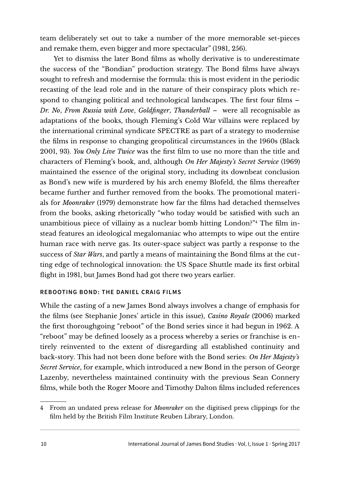team deliberately set out to take a number of the more memorable set-pieces and remake them, even bigger and more spectacular" (1981, 256).

Yet to dismiss the later Bond films as wholly derivative is to underestimate the success of the "Bondian" production strategy. The Bond films have always sought to refresh and modernise the formula: this is most evident in the periodic recasting of the lead role and in the nature of their conspiracy plots which respond to changing political and technological landscapes. The first four films – *Dr. No*, *From Russia with Love*, *Goldfinger*, *Thunderball* – were all recognisable as adaptations of the books, though Fleming's Cold War villains were replaced by the international criminal syndicate SPECTRE as part of a strategy to modernise the films in response to changing geopolitical circumstances in the 1960s (Black 2001, 93). *You Only Live Twice* was the first film to use no more than the title and characters of Fleming's book, and, although *On Her Majesty's Secret Service* (1969) maintained the essence of the original story, including its downbeat conclusion as Bond's new wife is murdered by his arch enemy Blofeld, the films thereafter became further and further removed from the books. The promotional materials for *Moonraker* (1979) demonstrate how far the films had detached themselves from the books, asking rhetorically "who today would be satisfied with such an unambitious piece of villainy as a nuclear bomb hitting London?"[4](#page-9-0) The film instead features an ideological megalomaniac who attempts to wipe out the entire human race with nerve gas. Its outer-space subject was partly a response to the success of *Star Wars*, and partly a means of maintaining the Bond films at the cutting edge of technological innovation: the US Space Shuttle made its first orbital flight in 1981, but James Bond had got there two years earlier.

## **REBOOTING BOND: THE DANIEL CRAIG FILMS**

While the casting of a new James Bond always involves a change of emphasis for the films (see Stephanie Jones' article in this issue), *Casino Royale* (2006) marked the first thoroughgoing "reboot" of the Bond series since it had begun in 1962. A "reboot" may be defined loosely as a process whereby a series or franchise is entirely reinvented to the extent of disregarding all established continuity and back-story. This had not been done before with the Bond series: *On Her Majesty's Secret Service*, for example, which introduced a new Bond in the person of George Lazenby, nevertheless maintained continuity with the previous Sean Connery films, while both the Roger Moore and Timothy Dalton films included references

<span id="page-9-0"></span><sup>4</sup> From an undated press release for *Moonraker* on the digitised press clippings for the film held by the British Film Institute Reuben Library, London.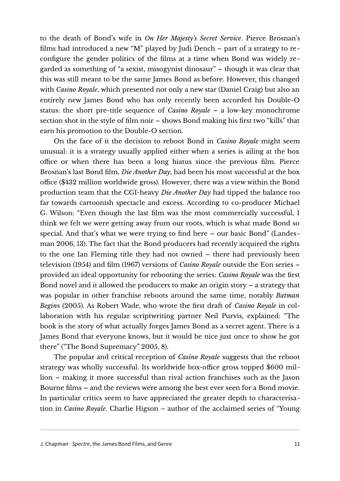to the death of Bond's wife in *On Her Majesty's Secret Service*. Pierce Brosnan's films had introduced a new "M" played by Judi Dench – part of a strategy to reconfigure the gender politics of the films at a time when Bond was widely regarded as something of "a sexist, misogynist dinosaur" – though it was clear that this was still meant to be the same James Bond as before. However, this changed with *Casino Royale*, which presented not only a new star (Daniel Craig) but also an entirely new James Bond who has only recently been accorded his Double-O status: the short pre-title sequence of *Casino Royale* – a low-key monochrome section shot in the style of film noir – shows Bond making his first two "kills" that earn his promotion to the Double-O section.

On the face of it the decision to reboot Bond in *Casino Royale* might seem unusual: it is a strategy usually applied either when a series is ailing at the box office or when there has been a long hiatus since the previous film. Pierce Brosnan's last Bond film, *Die Another Day*, had been his most successful at the box office (\$432 million worldwide gross). However, there was a view within the Bond production team that the CGI-heavy *Die Another Day* had tipped the balance too far towards cartoonish spectacle and excess. According to co-producer Michael G. Wilson: "Even though the last film was the most commercially successful, I think we felt we were getting away from our roots, which is what made Bond so special. And that's what we were trying to find here – our basic Bond" (Landesman 2006, 13). The fact that the Bond producers had recently acquired the rights to the one Ian Fleming title they had not owned – there had previously been television (1954) and film (1967) versions of *Casino Royale* outside the Eon series – provided an ideal opportunity for rebooting the series: *Casino Royale* was the first Bond novel and it allowed the producers to make an origin story – a strategy that was popular in other franchise reboots around the same time, notably *Batman Begin*s (2005). As Robert Wade, who wrote the first draft of *Casino Royale* in collaboration with his regular scriptwriting partner Neil Purvis, explained: "The book is the story of what actually forges James Bond as a secret agent. There is a James Bond that everyone knows, but it would be nice just once to show he got there" ("The Bond Supremacy" 2005, 8).

The popular and critical reception of *Casino Royale* suggests that the reboot strategy was wholly successful. Its worldwide box-office gross topped \$600 million – making it more successful than rival action franchises such as the Jason Bourne films – and the reviews were among the best ever seen for a Bond movie. In particular critics seem to have appreciated the greater depth to characterisation in *Casino Royale*. Charlie Higson – author of the acclaimed series of "Young

J. Chapman · Spectre, the James Bond Films, and Genre 11 11 12 12 14 15 16 17 18 18 19 19 19 19 19 11 11 11 11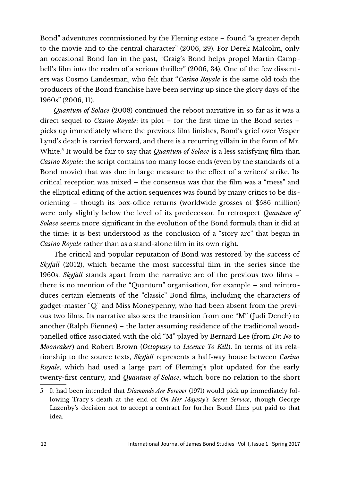Bond" adventures commissioned by the Fleming estate – found "a greater depth to the movie and to the central character" (2006, 29). For Derek Malcolm, only an occasional Bond fan in the past, "Craig's Bond helps propel Martin Campbell's film into the realm of a serious thriller" (2006, 34). One of the few dissenters was Cosmo Landesman, who felt that "*Casino Royale* is the same old tosh the producers of the Bond franchise have been serving up since the glory days of the 1960s" (2006, 11).

*Quantum of Solace* (2008) continued the reboot narrative in so far as it was a direct sequel to *Casino Royale*: its plot – for the first time in the Bond series – picks up immediately where the previous film finishes, Bond's grief over Vesper Lynd's death is carried forward, and there is a recurring villain in the form of Mr. White.<sup>[5](#page-11-0)</sup> It would be fair to say that *Quantum of Solace* is a less satisfying film than *Casino Royale*: the script contains too many loose ends (even by the standards of a Bond movie) that was due in large measure to the effect of a writers' strike. Its critical reception was mixed – the consensus was that the film was a "mess" and the elliptical editing of the action sequences was found by many critics to be disorienting – though its box-office returns (worldwide grosses of \$586 million) were only slightly below the level of its predecessor. In retrospect *Quantum of Solace* seems more significant in the evolution of the Bond formula than it did at the time: it is best understood as the conclusion of a "story arc" that began in *Casino Royale* rather than as a stand-alone film in its own right.

The critical and popular reputation of Bond was restored by the success of *Skyfall* (2012), which became the most successful film in the series since the 1960s. *Skyfall* stands apart from the narrative arc of the previous two films – there is no mention of the "Quantum" organisation, for example – and reintroduces certain elements of the "classic" Bond films, including the characters of gadget-master "Q" and Miss Moneypenny, who had been absent from the previous two films. Its narrative also sees the transition from one "M" (Judi Dench) to another (Ralph Fiennes) – the latter assuming residence of the traditional woodpanelled office associated with the old "M" played by Bernard Lee (from *Dr. No* to *Moonraker*) and Robert Brown (*Octopussy* to *Licence To Kill*). In terms of its relationship to the source texts, *Skyfall* represents a half-way house between *Casino Royale*, which had used a large part of Fleming's plot updated for the early twenty-first century, and *Quantum of Solace*, which bore no relation to the short

<span id="page-11-0"></span><sup>5</sup> It had been intended that *Diamonds Are Forever* (1971) would pick up immediately following Tracy's death at the end of *On Her Majesty's Secret Service*, though George Lazenby's decision not to accept a contract for further Bond films put paid to that idea.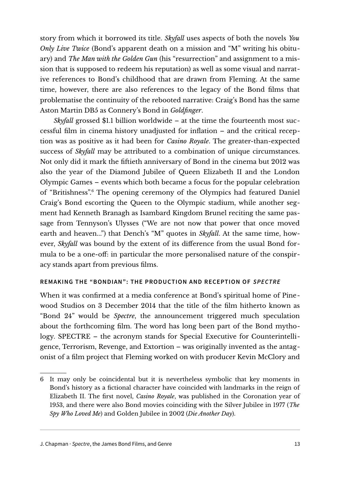story from which it borrowed its title. *Skyfall* uses aspects of both the novels *You Only Live Twice* (Bond's apparent death on a mission and "M" writing his obituary) and *The Man with the Golden Gun* (his "resurrection" and assignment to a mission that is supposed to redeem his reputation) as well as some visual and narrative references to Bond's childhood that are drawn from Fleming. At the same time, however, there are also references to the legacy of the Bond films that problematise the continuity of the rebooted narrative: Craig's Bond has the same Aston Martin DB5 as Connery's Bond in *Goldfinger*.

*Skyfall* grossed \$1.1 billion worldwide – at the time the fourteenth most successful film in cinema history unadjusted for inflation – and the critical reception was as positive as it had been for *Casino Royale*. The greater-than-expected success of *Skyfall* may be attributed to a combination of unique circumstances. Not only did it mark the fiftieth anniversary of Bond in the cinema but 2012 was also the year of the Diamond Jubilee of Queen Elizabeth II and the London Olympic Games – events which both became a focus for the popular celebration of "Britishness".[6](#page-12-0) The opening ceremony of the Olympics had featured Daniel Craig's Bond escorting the Queen to the Olympic stadium, while another segment had Kenneth Branagh as Isambard Kingdom Brunel reciting the same passage from Tennyson's Ulysses ("We are not now that power that once moved earth and heaven...") that Dench's "M" quotes in *Skyfall*. At the same time, however, *Skyfall* was bound by the extent of its difference from the usual Bond formula to be a one-off: in particular the more personalised nature of the conspiracy stands apart from previous films.

## **REMAKING THE "BONDIAN": THE PRODUCTION AND RECEPTION OF SPECTRE**

When it was confirmed at a media conference at Bond's spiritual home of Pinewood Studios on 3 December 2014 that the title of the film hitherto known as "Bond 24" would be *Spectre*, the announcement triggered much speculation about the forthcoming film. The word has long been part of the Bond mythology. SPECTRE – the acronym stands for Special Executive for Counterintelligence, Terrorism, Revenge, and Extortion – was originally invented as the antagonist of a film project that Fleming worked on with producer Kevin McClory and

<span id="page-12-0"></span><sup>6</sup> It may only be coincidental but it is nevertheless symbolic that key moments in Bond's history as a fictional character have coincided with landmarks in the reign of Elizabeth II. The first novel, *Casino Royale*, was published in the Coronation year of 1953, and there were also Bond movies coinciding with the Silver Jubilee in 1977 (*The Spy Who Loved Me*) and Golden Jubilee in 2002 (*Die Another Day*).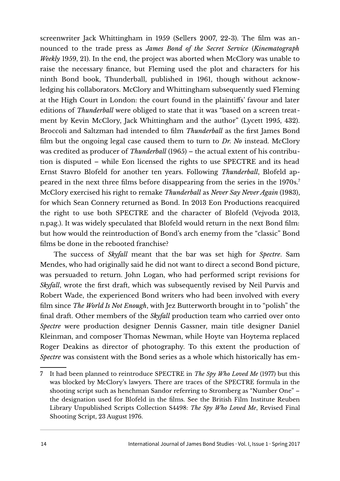screenwriter Jack Whittingham in 1959 (Sellers 2007, 22-3). The film was announced to the trade press as *James Bond of the Secret Service* (*Kinematograph Weekly* 1959, 21). In the end, the project was aborted when McClory was unable to raise the necessary finance, but Fleming used the plot and characters for his ninth Bond book, Thunderball, published in 1961, though without acknowledging his collaborators. McClory and Whittingham subsequently sued Fleming at the High Court in London: the court found in the plaintiffs' favour and later editions of *Thunderball* were obliged to state that it was "based on a screen treatment by Kevin McClory, Jack Whittingham and the author" (Lycett 1995, 432). Broccoli and Saltzman had intended to film *Thunderball* as the first James Bond film but the ongoing legal case caused them to turn to *Dr. No* instead. McClory was credited as producer of *Thunderball* (1965) – the actual extent of his contribution is disputed – while Eon licensed the rights to use SPECTRE and its head Ernst Stavro Blofeld for another ten years. Following *Thunderball*, Blofeld appeared in the next three films before disappearing from the series in the 1970s. [7](#page-13-0) McClory exercised his right to remake *Thunderball* as *Never Say Never Again* (1983), for which Sean Connery returned as Bond. In 2013 Eon Productions reacquired the right to use both SPECTRE and the character of Blofeld (Vejvoda 2013, n.pag.). It was widely speculated that Blofeld would return in the next Bond film: but how would the reintroduction of Bond's arch enemy from the "classic" Bond films be done in the rebooted franchise?

The success of *Skyfall* meant that the bar was set high for *Spectre*. Sam Mendes, who had originally said he did not want to direct a second Bond picture, was persuaded to return. John Logan, who had performed script revisions for *Skyfall*, wrote the first draft, which was subsequently revised by Neil Purvis and Robert Wade, the experienced Bond writers who had been involved with every film since *The World Is Not Enough*, with Jez Butterworth brought in to "polish" the final draft. Other members of the *Skyfall* production team who carried over onto *Spectre* were production designer Dennis Gassner, main title designer Daniel Kleinman, and composer Thomas Newman, while Hoyte van Hoytema replaced Roger Deakins as director of photography. To this extent the production of *Spectre* was consistent with the Bond series as a whole which historically has em-

<span id="page-13-0"></span><sup>7</sup> It had been planned to reintroduce SPECTRE in *The Spy Who Loved Me* (1977) but this was blocked by McClory's lawyers. There are traces of the SPECTRE formula in the shooting script such as henchman Sandor referring to Stromberg as "Number One" – the designation used for Blofeld in the films. See the British Film Institute Reuben Library Unpublished Scripts Collection S4498: *The Spy Who Loved Me*, Revised Final Shooting Script, 23 August 1976.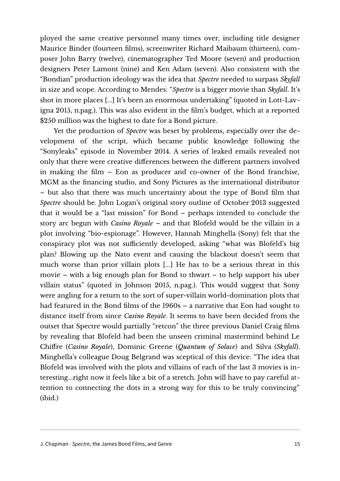ployed the same creative personnel many times over, including title designer Maurice Binder (fourteen films), screenwriter Richard Maibaum (thirteen), composer John Barry (twelve), cinematographer Ted Moore (seven) and production designers Peter Lamont (nine) and Ken Adam (seven). Also consistent with the "Bondian" production ideology was the idea that *Spectre* needed to surpass *Skyfall* in size and scope. According to Mendes: "*Spectre* is a bigger movie than *Skyfall*. It's shot in more places [...] It's been an enormous undertaking" (quoted in Lott-Lavigna 2015, n.pag.). This was also evident in the film's budget, which at a reported \$250 million was the highest to date for a Bond picture.

Yet the production of *Spectre* was beset by problems, especially over the development of the script, which became public knowledge following the "Sonyleaks" episode in November 2014. A series of leaked emails revealed not only that there were creative differences between the different partners involved in making the film – Eon as producer and co-owner of the Bond franchise, MGM as the financing studio, and Sony Pictures as the international distributor – but also that there was much uncertainty about the type of Bond film that *Spectre* should be. John Logan's original story outline of October 2013 suggested that it would be a "last mission" for Bond – perhaps intended to conclude the story arc begun with *Casino Royale* – and that Blofeld would be the villain in a plot involving "bio-espionage". However, Hannah Minghella (Sony) felt that the conspiracy plot was not sufficiently developed, asking "what was Blofeld's big plan? Blowing up the Nato event and causing the blackout doesn't seem that much worse than prior villain plots [...] He has to be a serious threat in this movie – with a big enough plan for Bond to thwart – to help support his uber villain status" (quoted in Johnson 2015, n.pag.). This would suggest that Sony were angling for a return to the sort of super-villain world-domination plots that had featured in the Bond films of the 1960s – a narrative that Eon had sought to distance itself from since *Casino Royale*. It seems to have been decided from the outset that Spectre would partially "retcon" the three previous Daniel Craig films by revealing that Blofeld had been the unseen criminal mastermind behind Le Chiffre (*Casino Royale*), Dominic Greene (*Quantum of Solace*) and Silva (*Skyfall*). Minghella's colleague Doug Belgrand was sceptical of this device: "The idea that Blofeld was involved with the plots and villains of each of the last 3 movies is interesting...right now it feels like a bit of a stretch. John will have to pay careful attention to connecting the dots in a strong way for this to be truly convincing" (ibid.)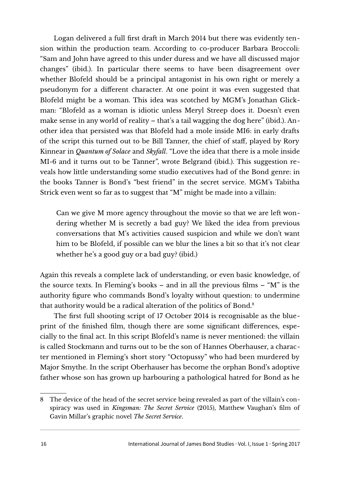Logan delivered a full first draft in March 2014 but there was evidently tension within the production team. According to co-producer Barbara Broccoli: "Sam and John have agreed to this under duress and we have all discussed major changes" (ibid.). In particular there seems to have been disagreement over whether Blofeld should be a principal antagonist in his own right or merely a pseudonym for a different character. At one point it was even suggested that Blofeld might be a woman. This idea was scotched by MGM's Jonathan Glickman: "Blofeld as a woman is idiotic unless Meryl Streep does it. Doesn't even make sense in any world of reality – that's a tail wagging the dog here" (ibid.). Another idea that persisted was that Blofeld had a mole inside MI6: in early drafts of the script this turned out to be Bill Tanner, the chief of staff, played by Rory Kinnear in *Quantum of Solace* and *Skyfall*. "Love the idea that there is a mole inside MI-6 and it turns out to be Tanner", wrote Belgrand (ibid.). This suggestion reveals how little understanding some studio executives had of the Bond genre: in the books Tanner is Bond's "best friend" in the secret service. MGM's Tabitha Strick even went so far as to suggest that "M" might be made into a villain:

Can we give M more agency throughout the movie so that we are left wondering whether M is secretly a bad guy? We liked the idea from previous conversations that M's activities caused suspicion and while we don't want him to be Blofeld, if possible can we blur the lines a bit so that it's not clear whether he's a good guy or a bad guy? (ibid.)

Again this reveals a complete lack of understanding, or even basic knowledge, of the source texts. In Fleming's books – and in all the previous films – "M" is the authority figure who commands Bond's loyalty without question: to undermine that authority would be a radical alteration of the politics of Bond.[8](#page-15-0)

The first full shooting script of 17 October 2014 is recognisable as the blueprint of the finished film, though there are some significant differences, especially to the final act. In this script Blofeld's name is never mentioned: the villain is called Stockmann and turns out to be the son of Hannes Oberhauser, a character mentioned in Fleming's short story "Octopussy" who had been murdered by Major Smythe. In the script Oberhauser has become the orphan Bond's adoptive father whose son has grown up harbouring a pathological hatred for Bond as he

<span id="page-15-0"></span><sup>8</sup> The device of the head of the secret service being revealed as part of the villain's conspiracy was used in *Kingsman: The Secret Service* (2015), Matthew Vaughan's film of Gavin Millar's graphic novel *The Secret Service*.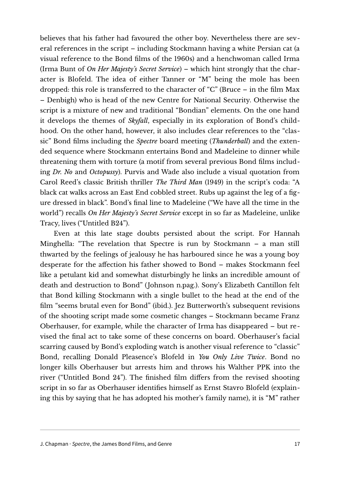believes that his father had favoured the other boy. Nevertheless there are several references in the script – including Stockmann having a white Persian cat (a visual reference to the Bond films of the 1960s) and a henchwoman called Irma (Irma Bunt of *On Her Majesty's Secret Service*) – which hint strongly that the character is Blofeld. The idea of either Tanner or "M" being the mole has been dropped: this role is transferred to the character of "C" (Bruce – in the film Max – Denbigh) who is head of the new Centre for National Security. Otherwise the script is a mixture of new and traditional "Bondian" elements. On the one hand it develops the themes of *Skyfall*, especially in its exploration of Bond's childhood. On the other hand, however, it also includes clear references to the "classic" Bond films including the *Spectre* board meeting (*Thunderball*) and the extended sequence where Stockmann entertains Bond and Madeleine to dinner while threatening them with torture (a motif from several previous Bond films including *Dr. No* and *Octopussy*). Purvis and Wade also include a visual quotation from Carol Reed's classic British thriller *The Third Man* (1949) in the script's coda: "A black cat walks across an East End cobbled street. Rubs up against the leg of a figure dressed in black". Bond's final line to Madeleine ("We have all the time in the world") recalls *On Her Majesty's Secret Service* except in so far as Madeleine, unlike Tracy, lives ("Untitled B24").

Even at this late stage doubts persisted about the script. For Hannah Minghella: "The revelation that Spectre is run by Stockmann – a man still thwarted by the feelings of jealousy he has harboured since he was a young boy desperate for the affection his father showed to Bond – makes Stockmann feel like a petulant kid and somewhat disturbingly he links an incredible amount of death and destruction to Bond" (Johnson n.pag.). Sony's Elizabeth Cantillon felt that Bond killing Stockmann with a single bullet to the head at the end of the film "seems brutal even for Bond" (ibid.). Jez Butterworth's subsequent revisions of the shooting script made some cosmetic changes – Stockmann became Franz Oberhauser, for example, while the character of Irma has disappeared – but revised the final act to take some of these concerns on board. Oberhauser's facial scarring caused by Bond's exploding watch is another visual reference to "classic" Bond, recalling Donald Pleasence's Blofeld in *You Only Live Twice*. Bond no longer kills Oberhauser but arrests him and throws his Walther PPK into the river ("Untitled Bond 24"). The finished film differs from the revised shooting script in so far as Oberhauser identifies himself as Ernst Stavro Blofeld (explaining this by saying that he has adopted his mother's family name), it is "M" rather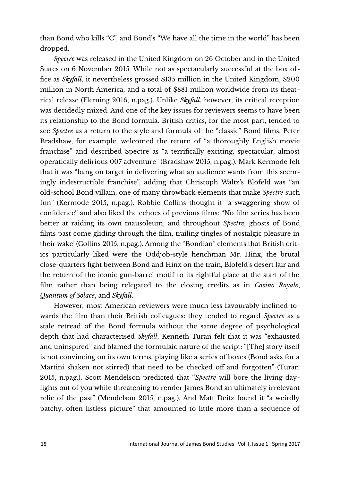than Bond who kills "C", and Bond's "We have all the time in the world" has been dropped.

*Spectre* was released in the United Kingdom on 26 October and in the United States on 6 November 2015. While not as spectacularly successful at the box office as *Skyfall*, it nevertheless grossed \$135 million in the United Kingdom, \$200 million in North America, and a total of \$881 million worldwide from its theatrical release (Fleming 2016, n.pag.). Unlike *Skyfall*, however, its critical reception was decidedly mixed. And one of the key issues for reviewers seems to have been its relationship to the Bond formula. British critics, for the most part, tended to see *Spectre* as a return to the style and formula of the "classic" Bond films. Peter Bradshaw, for example, welcomed the return of "a thoroughly English movie franchise" and described Spectre as "a terrifically exciting, spectacular, almost operatically delirious 007 adventure" (Bradshaw 2015, n.pag.). Mark Kermode felt that it was "bang on target in delivering what an audience wants from this seemingly indestructible franchise", adding that Christoph Waltz's Blofeld was "an old-school Bond villain, one of many throwback elements that make *Spectre* such fun" (Kermode 2015, n.pag.). Robbie Collins thought it "a swaggering show of confidence" and also liked the echoes of previous films: "No film series has been better at raiding its own mausoleum, and throughout *Spectre*, ghosts of Bond films past come gliding through the film, trailing tingles of nostalgic pleasure in their wake' (Collins 2015, n.pag.). Among the "Bondian" elements that British critics particularly liked were the Oddjob-style henchman Mr. Hinx, the brutal close-quarters fight between Bond and Hinx on the train, Blofeld's desert lair and the return of the iconic gun-barrel motif to its rightful place at the start of the film rather than being relegated to the closing credits as in *Casino Royale*, *Quantum of Solace*, and *Skyfall*.

However, most American reviewers were much less favourably inclined towards the film than their British colleagues: they tended to regard *Spectre* as a stale retread of the Bond formula without the same degree of psychological depth that had characterised *Skyfall*. Kenneth Turan felt that it was "exhausted and uninspired" and blamed the formulaic nature of the script: "[The] story itself is not convincing on its own terms, playing like a series of boxes (Bond asks for a Martini shaken not stirred) that need to be checked off and forgotten" (Turan 2015, n.pag.). Scott Mendelson predicted that "*Spectre* will bore the living daylights out of you while threatening to render James Bond an ultimately irrelevant relic of the past" (Mendelson 2015, n.pag.). And Matt Deitz found it "a weirdly patchy, often listless picture" that amounted to little more than a sequence of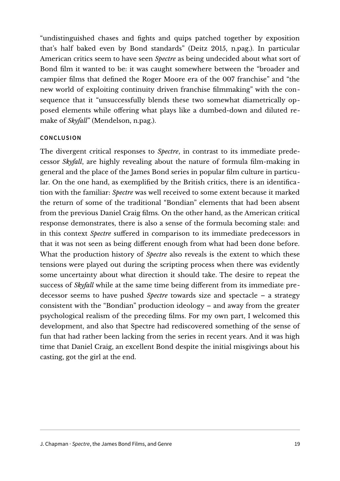"undistinguished chases and fights and quips patched together by exposition that's half baked even by Bond standards" (Deitz 2015, n.pag.). In particular American critics seem to have seen *Spectre* as being undecided about what sort of Bond film it wanted to be: it was caught somewhere between the "broader and campier films that defined the Roger Moore era of the 007 franchise" and "the new world of exploiting continuity driven franchise filmmaking" with the consequence that it "unsuccessfully blends these two somewhat diametrically opposed elements while offering what plays like a dumbed-down and diluted remake of *Skyfall*" (Mendelson, n.pag.).

#### **CONCLUSION**

The divergent critical responses to *Spectre*, in contrast to its immediate predecessor *Skyfall*, are highly revealing about the nature of formula film-making in general and the place of the James Bond series in popular film culture in particular. On the one hand, as exemplified by the British critics, there is an identification with the familiar: *Spectre* was well received to some extent because it marked the return of some of the traditional "Bondian" elements that had been absent from the previous Daniel Craig films. On the other hand, as the American critical response demonstrates, there is also a sense of the formula becoming stale: and in this context *Spectre* suffered in comparison to its immediate predecessors in that it was not seen as being different enough from what had been done before. What the production history of *Spectre* also reveals is the extent to which these tensions were played out during the scripting process when there was evidently some uncertainty about what direction it should take. The desire to repeat the success of *Skyfall* while at the same time being different from its immediate predecessor seems to have pushed *Spectre* towards size and spectacle – a strategy consistent with the "Bondian" production ideology – and away from the greater psychological realism of the preceding films. For my own part, I welcomed this development, and also that Spectre had rediscovered something of the sense of fun that had rather been lacking from the series in recent years. And it was high time that Daniel Craig, an excellent Bond despite the initial misgivings about his casting, got the girl at the end.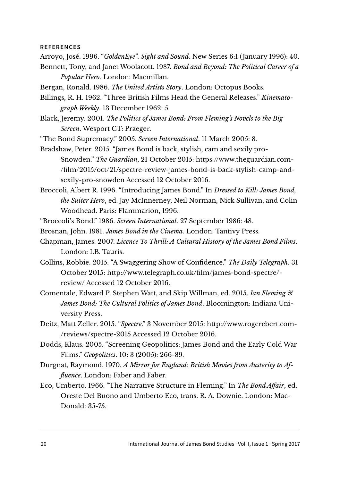#### **REFERENCES**

- Arroyo, José. 1996. "*GoldenEye*". *Sight and Sound*. New Series 6:1 (January 1996): 40.
- Bennett, Tony, and Janet Woolacott. 1987. *Bond and Beyond: The Political Career of a Popular Hero*. London: Macmillan.
- Bergan, Ronald. 1986. *The United Artists Story*. London: Octopus Books.
- Billings, R. H. 1962. "Three British Films Head the General Releases." *Kinematograph Weekly*. 13 December 1962: 5.
- Black, Jeremy. 2001. *The Politics of James Bond: From Fleming's Novels to the Big Screen*. Wesport CT: Praeger.
- "The Bond Supremacy." 2005. *Screen International*. 11 March 2005: 8.
- Bradshaw, Peter. 2015. "James Bond is back, stylish, cam and sexily pro-Snowden." *The Guardian*, 21 October 2015: [https://www.theguardian.com-](https://www.theguardian.com/film/2015/oct/21/spectre-review-james-bond-is-back-stylish-camp-and-sexily-pro-snowden) [/film/2015/oct/21/spectre-review-james-bond-is-back-stylish-camp-and](https://www.theguardian.com/film/2015/oct/21/spectre-review-james-bond-is-back-stylish-camp-and-sexily-pro-snowden)[sexily-pro-snowden](https://www.theguardian.com/film/2015/oct/21/spectre-review-james-bond-is-back-stylish-camp-and-sexily-pro-snowden) Accessed 12 October 2016.
- Broccoli, Albert R. 1996. "Introducing James Bond." In *Dressed to Kill: James Bond, the Suiter Hero*, ed. Jay McInnerney, Neil Norman, Nick Sullivan, and Colin Woodhead. Paris: Flammarion, 1996.
- "Broccoli's Bond." 1986. *Screen International*. 27 September 1986: 48.
- Brosnan, John. 1981. *James Bond in the Cinema*. London: Tantivy Press.
- Chapman, James. 2007. *Licence To Thrill: A Cultural History of the James Bond Films*. London: I.B. Tauris.
- Collins, Robbie. 2015. "A Swaggering Show of Confidence." *The Daily Telegraph*. 31 October 2015: [http://www.telegraph.co.uk/film/james-bond-spectre/](http://www.telegraph.co.uk/film/james-bond-spectre/review/) [review/](http://www.telegraph.co.uk/film/james-bond-spectre/review/) Accessed 12 October 2016.
- Comentale, Edward P. Stephen Watt, and Skip Willman, ed. 2015. *Ian Fleming & James Bond: The Cultural Politics of James Bond*. Bloomington: Indiana University Press.
- Deitz, Matt Zeller. 2015. "*Spectre*." 3 November 2015: [http://www.rogerebert.com-](http://www.rogerebert.com/reviews/spectre-2015) [/reviews/spectre-2015](http://www.rogerebert.com/reviews/spectre-2015) Accessed 12 October 2016.
- Dodds, Klaus. 2005. "Screening Geopolitics: James Bond and the Early Cold War Films." *Geopolitics*. 10: 3 (2005): 266-89.
- Durgnat, Raymond. 1970. *A Mirror for England: British Movies from Austerity to Affluence*. London: Faber and Faber.
- Eco, Umberto. 1966. "The Narrative Structure in Fleming." In *The Bond Affair*, ed. Oreste Del Buono and Umberto Eco, trans. R. A. Downie. London: Mac-Donald: 35-75.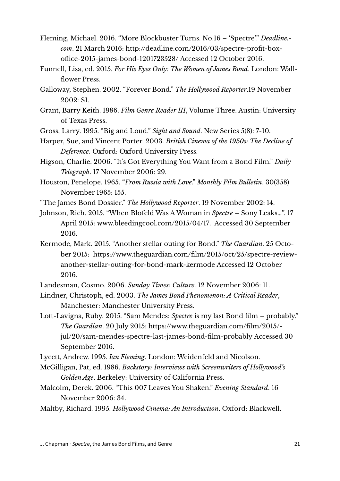- Fleming, Michael. 2016. "More Blockbuster Turns. No.16 'Spectre'." *Deadline. com*. 21 March 2016: [http://deadline.com/2016/03/spectre-profit-box](http://deadline.com/2016/03/spectre-profit-box-office-2015-james-bond-1201723528/)[office-2015-james-bond-1201723528/](http://deadline.com/2016/03/spectre-profit-box-office-2015-james-bond-1201723528/) Accessed 12 October 2016.
- Funnell, Lisa, ed. 2015. *For His Eyes Only: The Women of James Bond*. London: Wallflower Press.
- Galloway, Stephen. 2002. "Forever Bond." *The Hollywood Reporter*.19 November 2002: S1.
- Grant, Barry Keith. 1986. *Film Genre Reader III*, Volume Three. Austin: University of Texas Press.
- Gross, Larry. 1995. "Big and Loud." *Sight and Sound*. New Series 5(8): 7-10.
- Harper, Sue, and Vincent Porter. 2003. *British Cinema of the 1950s: The Decline of Deference*. Oxford: Oxford University Press.
- Higson, Charlie. 2006. "It's Got Everything You Want from a Bond Film." *Daily Telegraph*. 17 November 2006: 29.

Houston, Penelope. 1965. "*From Russia with Love*." *Monthly Film Bulletin*. 30(358) November 1965: 155.

"The James Bond Dossier." *The Hollywood Reporter*. 19 November 2002: 14.

Johnson, Rich. 2015. "When Blofeld Was A Woman in *Spectre* – Sony Leaks…". 17 April 2015: [www.bleedingcool.com/2015/04/17.](http://www.bleedingcool.com/2015/04/17) Accessed 30 September 2016.

Kermode, Mark. 2015. "Another stellar outing for Bond." *The Guardian*. 25 October 2015: [https://www.theguardian.com/film/2015/oct/25/spectre-review](https://www.theguardian.com/film/2015/oct/25/spectre-review-another-stellar-outing-for-bond-mark-kermode)[another-stellar-outing-for-bond-mark-kermode](https://www.theguardian.com/film/2015/oct/25/spectre-review-another-stellar-outing-for-bond-mark-kermode) Accessed 12 October 2016.

Landesman, Cosmo. 2006. *Sunday Times: Culture*. 12 November 2006: 11.

Lindner, Christoph, ed. 2003. *The James Bond Phenomenon: A Critical Reader*, Manchester: Manchester University Press.

Lott-Lavigna, Ruby. 2015. "Sam Mendes: *Spectre* is my last Bond film – probably." *The Guardian*. 20 July 2015: [https://www.theguardian.com/film/2015/](https://www.theguardian.com/film/2015/jul/20/sam-mendes-spectre-last-james-bond-film-probably) [jul/20/sam-mendes-spectre-last-james-bond-film-probably](https://www.theguardian.com/film/2015/jul/20/sam-mendes-spectre-last-james-bond-film-probably) Accessed 30 September 2016.

Lycett, Andrew. 1995. *Ian Fleming*. London: Weidenfeld and Nicolson.

McGilligan, Pat, ed. 1986. *Backstory: Interviews with Screenwriters of Hollywood's Golden Age*. Berkeley: University of California Press.

Malcolm, Derek. 2006. "This 007 Leaves You Shaken." *Evening Standard*. 16 November 2006: 34.

Maltby, Richard. 1995. *Hollywood Cinema: An Introduction*. Oxford: Blackwell.